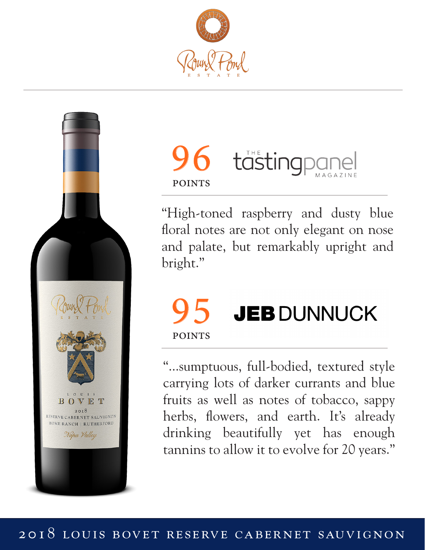



## **96** tästingpe **POINTS**

"High-toned raspberry and dusty blue floral notes are not only elegant on nose and palate, but remarkably upright and bright."

## 95 JEB DUNNUCK **POINTS**

"...sumptuous, full-bodied, textured style carrying lots of darker currants and blue fruits as well as notes of tobacco, sappy herbs, flowers, and earth. It's already drinking beautifully yet has enough tannins to allow it to evolve for 20 years."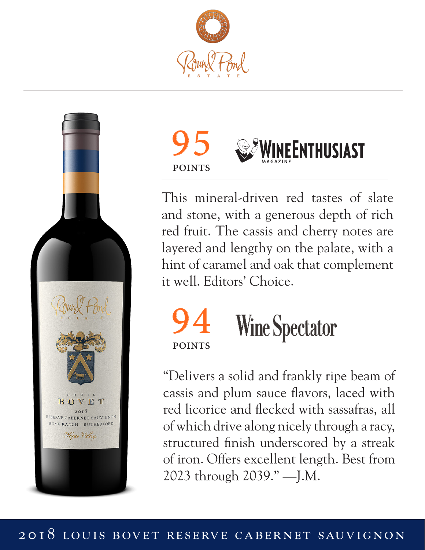





This mineral-driven red tastes of slate and stone, with a generous depth of rich red fruit. The cassis and cherry notes are layered and lengthy on the palate, with a hint of caramel and oak that complement it well. Editors' Choice.



"Delivers a solid and frankly ripe beam of cassis and plum sauce flavors, laced with red licorice and flecked with sassafras, all of which drive along nicely through a racy, structured finish underscored by a streak of iron. Offers excellent length. Best from 2023 through 2039." —J.M.